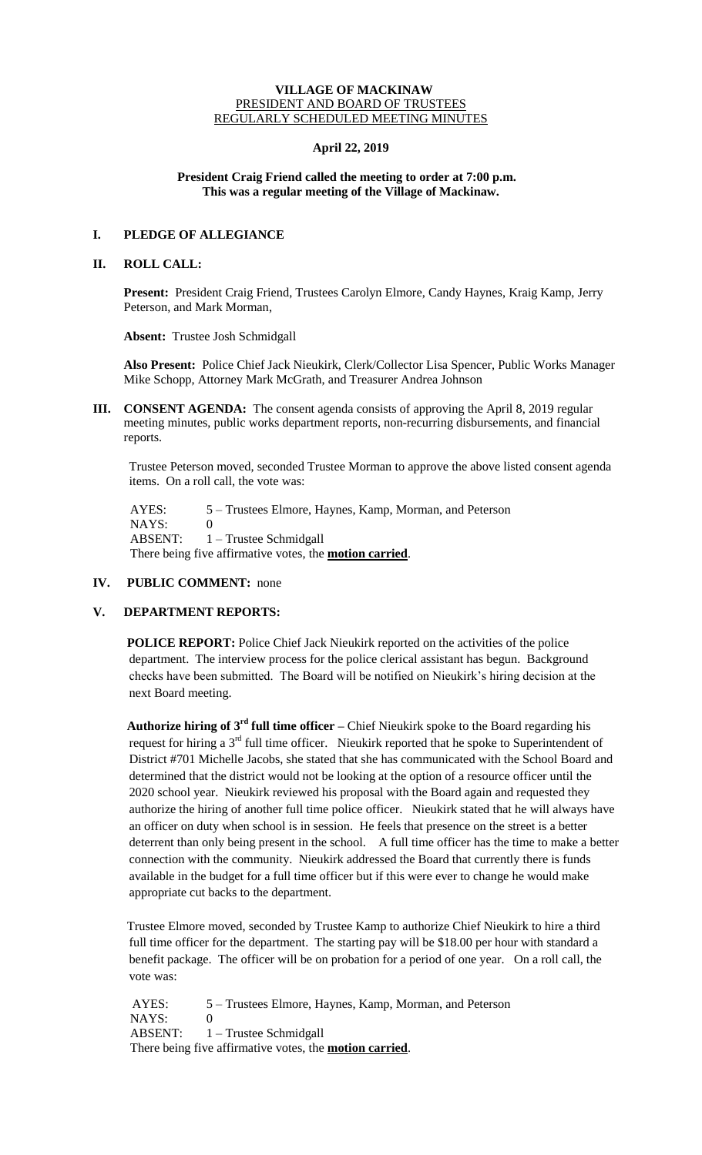## **VILLAGE OF MACKINAW** PRESIDENT AND BOARD OF TRUSTEES REGULARLY SCHEDULED MEETING MINUTES

## **April 22, 2019**

## **President Craig Friend called the meeting to order at 7:00 p.m. This was a regular meeting of the Village of Mackinaw.**

# **I. PLEDGE OF ALLEGIANCE**

## **II. ROLL CALL:**

**Present:** President Craig Friend, Trustees Carolyn Elmore, Candy Haynes, Kraig Kamp, Jerry Peterson, and Mark Morman,

**Absent:** Trustee Josh Schmidgall

**Also Present:** Police Chief Jack Nieukirk, Clerk/Collector Lisa Spencer, Public Works Manager Mike Schopp, Attorney Mark McGrath, and Treasurer Andrea Johnson

**III. CONSENT AGENDA:** The consent agenda consists of approving the April 8, 2019 regular meeting minutes, public works department reports, non-recurring disbursements, and financial reports.

Trustee Peterson moved, seconded Trustee Morman to approve the above listed consent agenda items. On a roll call, the vote was:

 AYES: 5 – Trustees Elmore, Haynes, Kamp, Morman, and Peterson NAYS: 0 ABSENT: 1 – Trustee Schmidgall There being five affirmative votes, the **motion carried**.

# **IV. PUBLIC COMMENT:** none

# **V. DEPARTMENT REPORTS:**

**POLICE REPORT:** Police Chief Jack Nieukirk reported on the activities of the police department. The interview process for the police clerical assistant has begun. Background checks have been submitted. The Board will be notified on Nieukirk's hiring decision at the next Board meeting.

**Authorize hiring of 3rd full time officer –** Chief Nieukirk spoke to the Board regarding his request for hiring a 3<sup>rd</sup> full time officer. Nieukirk reported that he spoke to Superintendent of District #701 Michelle Jacobs, she stated that she has communicated with the School Board and determined that the district would not be looking at the option of a resource officer until the 2020 school year. Nieukirk reviewed his proposal with the Board again and requested they authorize the hiring of another full time police officer. Nieukirk stated that he will always have an officer on duty when school is in session. He feels that presence on the street is a better deterrent than only being present in the school. A full time officer has the time to make a better connection with the community. Nieukirk addressed the Board that currently there is funds available in the budget for a full time officer but if this were ever to change he would make appropriate cut backs to the department.

Trustee Elmore moved, seconded by Trustee Kamp to authorize Chief Nieukirk to hire a third full time officer for the department. The starting pay will be \$18.00 per hour with standard a benefit package. The officer will be on probation for a period of one year. On a roll call, the vote was:

AYES: 5 – Trustees Elmore, Haynes, Kamp, Morman, and Peterson NAYS: 0<br>ABSENT: 1 1 – Trustee Schmidgall There being five affirmative votes, the **motion carried**.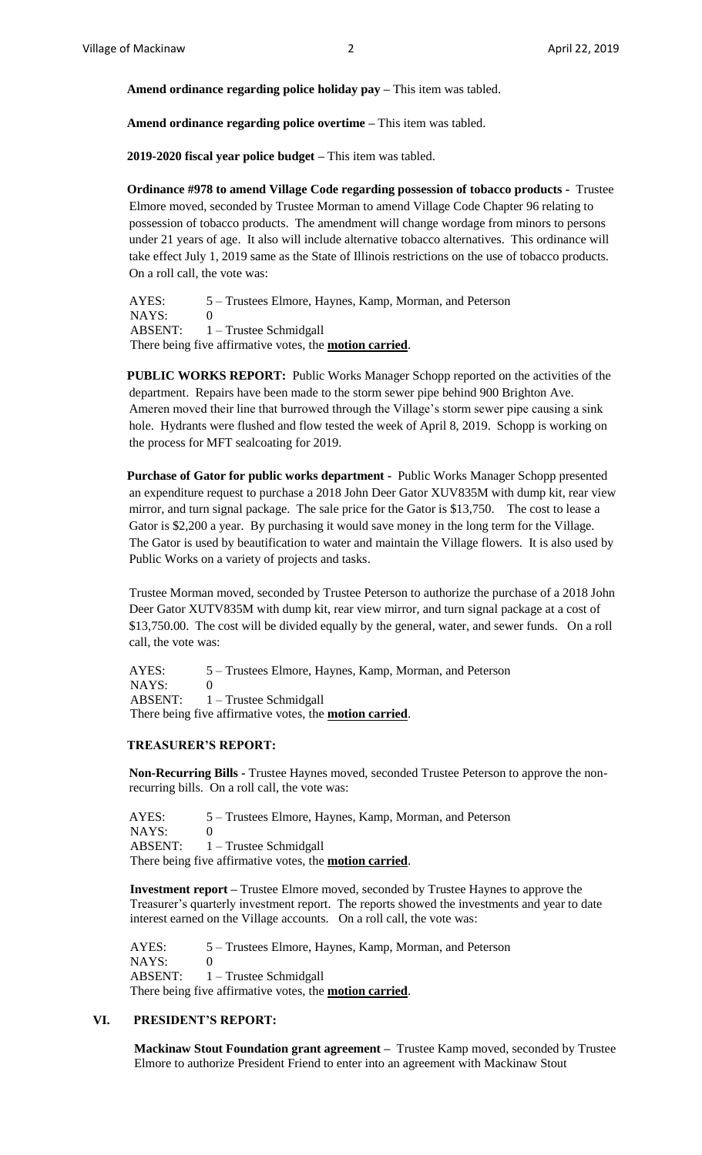**Amend ordinance regarding police holiday pay –** This item was tabled.

**Amend ordinance regarding police overtime –** This item was tabled.

**2019-2020 fiscal year police budget –** This item was tabled.

**Ordinance #978 to amend Village Code regarding possession of tobacco products -** Trustee Elmore moved, seconded by Trustee Morman to amend Village Code Chapter 96 relating to possession of tobacco products. The amendment will change wordage from minors to persons under 21 years of age. It also will include alternative tobacco alternatives. This ordinance will take effect July 1, 2019 same as the State of Illinois restrictions on the use of tobacco products. On a roll call, the vote was:

AYES: 5 – Trustees Elmore, Haynes, Kamp, Morman, and Peterson NAYS: 0 ABSENT: 1 – Trustee Schmidgall There being five affirmative votes, the **motion carried**.

**PUBLIC WORKS REPORT:** Public Works Manager Schopp reported on the activities of the department. Repairs have been made to the storm sewer pipe behind 900 Brighton Ave. Ameren moved their line that burrowed through the Village's storm sewer pipe causing a sink hole. Hydrants were flushed and flow tested the week of April 8, 2019. Schopp is working on the process for MFT sealcoating for 2019.

**Purchase of Gator for public works department -** Public Works Manager Schopp presented an expenditure request to purchase a 2018 John Deer Gator XUV835M with dump kit, rear view mirror, and turn signal package. The sale price for the Gator is \$13,750. The cost to lease a Gator is \$2,200 a year. By purchasing it would save money in the long term for the Village. The Gator is used by beautification to water and maintain the Village flowers. It is also used by Public Works on a variety of projects and tasks.

Trustee Morman moved, seconded by Trustee Peterson to authorize the purchase of a 2018 John Deer Gator XUTV835M with dump kit, rear view mirror, and turn signal package at a cost of \$13,750.00. The cost will be divided equally by the general, water, and sewer funds. On a roll call, the vote was:

AYES: 5 – Trustees Elmore, Haynes, Kamp, Morman, and Peterson NAYS: 0 ABSENT: 1 – Trustee Schmidgall There being five affirmative votes, the **motion carried**.

#### **TREASURER'S REPORT:**

**Non-Recurring Bills -** Trustee Haynes moved, seconded Trustee Peterson to approve the nonrecurring bills. On a roll call, the vote was:

AYES: 5 – Trustees Elmore, Haynes, Kamp, Morman, and Peterson NAYS: 0 ABSENT: 1 – Trustee Schmidgall There being five affirmative votes, the **motion carried**.

**Investment report –** Trustee Elmore moved, seconded by Trustee Haynes to approve the Treasurer's quarterly investment report. The reports showed the investments and year to date interest earned on the Village accounts. On a roll call, the vote was:

 AYES: 5 – Trustees Elmore, Haynes, Kamp, Morman, and Peterson NAYS: 0 ABSENT: 1 – Trustee Schmidgall There being five affirmative votes, the **motion carried**.

#### **VI. PRESIDENT'S REPORT:**

**Mackinaw Stout Foundation grant agreement –** Trustee Kamp moved, seconded by Trustee Elmore to authorize President Friend to enter into an agreement with Mackinaw Stout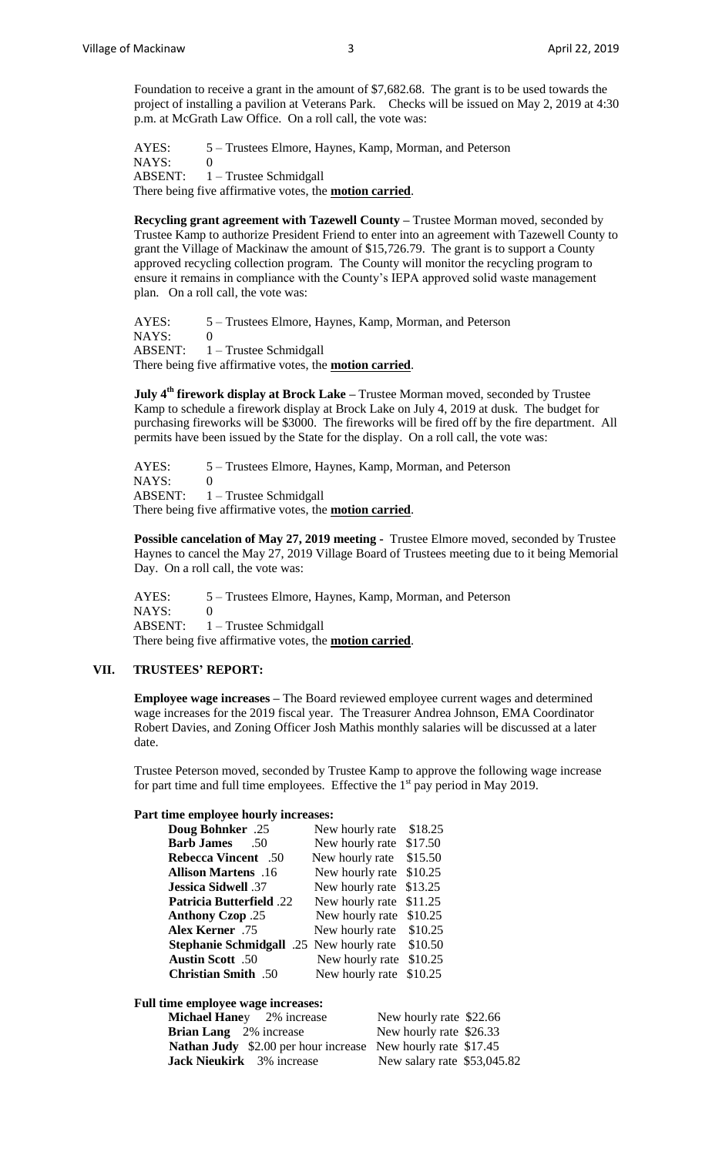Foundation to receive a grant in the amount of \$7,682.68. The grant is to be used towards the project of installing a pavilion at Veterans Park. Checks will be issued on May 2, 2019 at 4:30 p.m. at McGrath Law Office. On a roll call, the vote was:

AYES: 5 – Trustees Elmore, Haynes, Kamp, Morman, and Peterson NAYS: 0 ABSENT: 1 – Trustee Schmidgall There being five affirmative votes, the **motion carried**.

**Recycling grant agreement with Tazewell County –** Trustee Morman moved, seconded by Trustee Kamp to authorize President Friend to enter into an agreement with Tazewell County to grant the Village of Mackinaw the amount of \$15,726.79. The grant is to support a County approved recycling collection program. The County will monitor the recycling program to ensure it remains in compliance with the County's IEPA approved solid waste management plan. On a roll call, the vote was:

AYES: 5 – Trustees Elmore, Haynes, Kamp, Morman, and Peterson  $NAYS: 0$  ABSENT: 1 – Trustee Schmidgall There being five affirmative votes, the **motion carried**.

**July 4th firework display at Brock Lake –** Trustee Morman moved, seconded by Trustee Kamp to schedule a firework display at Brock Lake on July 4, 2019 at dusk. The budget for purchasing fireworks will be \$3000. The fireworks will be fired off by the fire department. All permits have been issued by the State for the display. On a roll call, the vote was:

AYES: 5 – Trustees Elmore, Haynes, Kamp, Morman, and Peterson NAYS: 0 ABSENT: 1 – Trustee Schmidgall There being five affirmative votes, the **motion carried**.

**Possible cancelation of May 27, 2019 meeting -** Trustee Elmore moved, seconded by Trustee Haynes to cancel the May 27, 2019 Village Board of Trustees meeting due to it being Memorial Day. On a roll call, the vote was:

AYES: 5 – Trustees Elmore, Haynes, Kamp, Morman, and Peterson  $NAYS: 0$  ABSENT: 1 – Trustee Schmidgall There being five affirmative votes, the **motion carried**.

## **VII. TRUSTEES' REPORT:**

**Employee wage increases –** The Board reviewed employee current wages and determined wage increases for the 2019 fiscal year. The Treasurer Andrea Johnson, EMA Coordinator Robert Davies, and Zoning Officer Josh Mathis monthly salaries will be discussed at a later date.

Trustee Peterson moved, seconded by Trustee Kamp to approve the following wage increase for part time and full time employees. Effective the  $1<sup>st</sup>$  pay period in May 2019.

#### **Part time employee hourly increases:**

| <b>Doug Bohnker</b> .25         | New hourly rate     | \$18.25 |
|---------------------------------|---------------------|---------|
| <b>Barb James</b><br>.50        | New hourly rate     | \$17.50 |
| <b>Rebecca Vincent</b><br>$-50$ | New hourly rate     | \$15.50 |
| Allison Martens .16             | New hourly rate     | \$10.25 |
| <b>Jessica Sidwell</b> .37      | New hourly rate     | \$13.25 |
| <b>Patricia Butterfield .22</b> | New hourly rate     | \$11.25 |
| <b>Anthony Czop</b> .25         | New hourly rate     | \$10.25 |
| Alex Kerner .75                 | New hourly rate     | \$10.25 |
| <b>Stephanie Schmidgall</b>     | .25 New hourly rate | \$10.50 |
| <b>Austin Scott</b> .50         | New hourly rate     | \$10.25 |
| <b>Christian Smith</b> .50      | New hourly rate     | \$10.25 |

**Full time employee wage increases:**

| <b>Michael Haney</b> 2% increase                                    | New hourly rate \$22.66     |
|---------------------------------------------------------------------|-----------------------------|
| <b>Brian Lang</b> 2% increase                                       | New hourly rate \$26.33     |
| <b>Nathan Judy</b> \$2.00 per hour increase New hourly rate \$17.45 |                             |
| <b>Jack Nieukirk</b> 3% increase                                    | New salary rate \$53,045.82 |